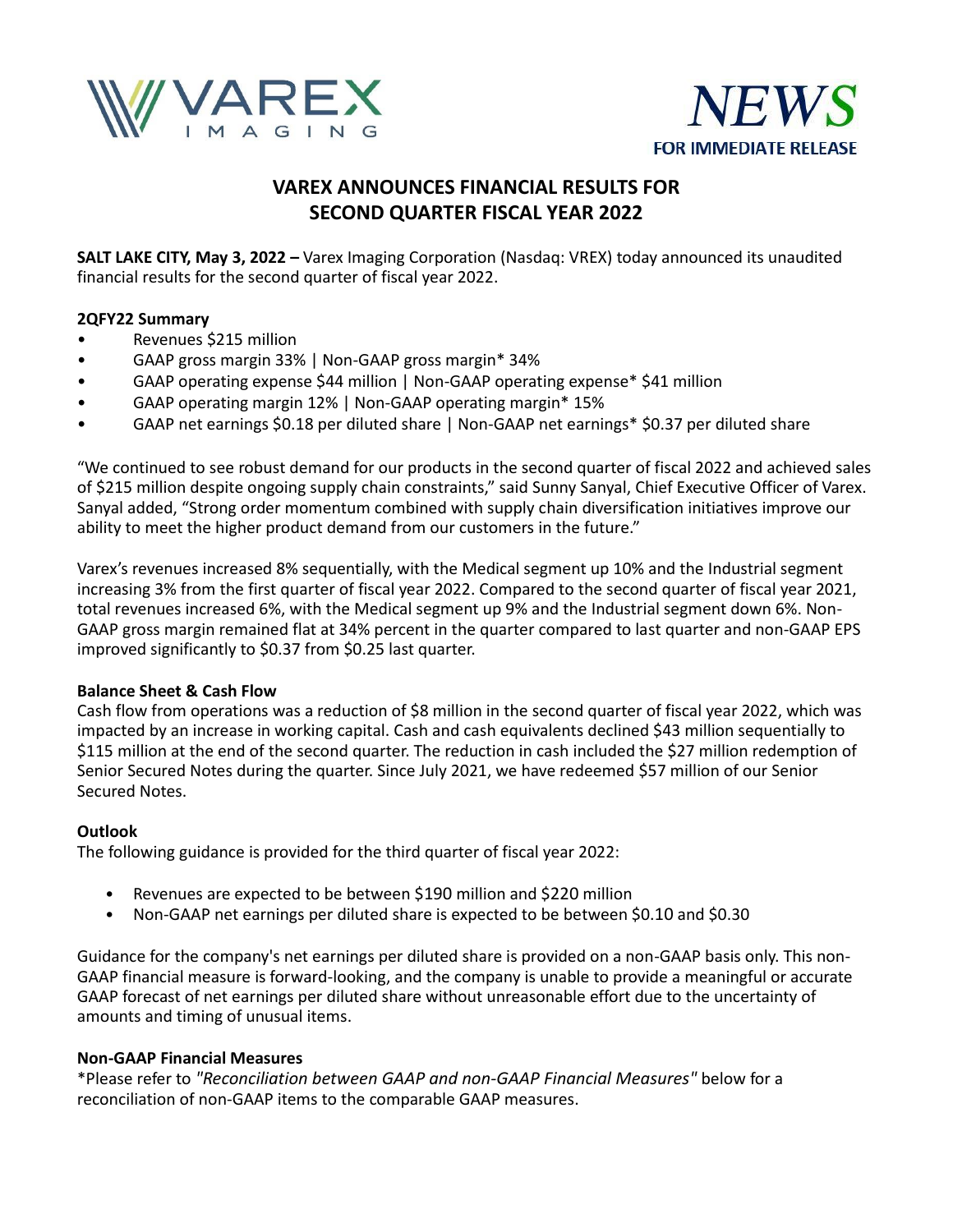



# **VAREX ANNOUNCES FINANCIAL RESULTS FOR SECOND QUARTER FISCAL YEAR 2022**

**SALT LAKE CITY, May 3, 2022 –** Varex Imaging Corporation (Nasdaq: VREX) today announced its unaudited financial results for the second quarter of fiscal year 2022.

# **2QFY22 Summary**

- Revenues \$215 million
- GAAP gross margin 33% | Non-GAAP gross margin\* 34%
- GAAP operating expense \$44 million | Non-GAAP operating expense\* \$41 million
- GAAP operating margin 12% | Non-GAAP operating margin\* 15%
- GAAP net earnings \$0.18 per diluted share | Non-GAAP net earnings\* \$0.37 per diluted share

"We continued to see robust demand for our products in the second quarter of fiscal 2022 and achieved sales of \$215 million despite ongoing supply chain constraints," said Sunny Sanyal, Chief Executive Officer of Varex. Sanyal added, "Strong order momentum combined with supply chain diversification initiatives improve our ability to meet the higher product demand from our customers in the future."

Varex's revenues increased 8% sequentially, with the Medical segment up 10% and the Industrial segment increasing 3% from the first quarter of fiscal year 2022. Compared to the second quarter of fiscal year 2021, total revenues increased 6%, with the Medical segment up 9% and the Industrial segment down 6%. Non-GAAP gross margin remained flat at 34% percent in the quarter compared to last quarter and non-GAAP EPS improved significantly to \$0.37 from \$0.25 last quarter.

# **Balance Sheet & Cash Flow**

Cash flow from operations was a reduction of \$8 million in the second quarter of fiscal year 2022, which was impacted by an increase in working capital. Cash and cash equivalents declined \$43 million sequentially to \$115 million at the end of the second quarter. The reduction in cash included the \$27 million redemption of Senior Secured Notes during the quarter. Since July 2021, we have redeemed \$57 million of our Senior Secured Notes.

# **Outlook**

The following guidance is provided for the third quarter of fiscal year 2022:

- Revenues are expected to be between \$190 million and \$220 million
- Non-GAAP net earnings per diluted share is expected to be between \$0.10 and \$0.30

Guidance for the company's net earnings per diluted share is provided on a non-GAAP basis only. This non-GAAP financial measure is forward-looking, and the company is unable to provide a meaningful or accurate GAAP forecast of net earnings per diluted share without unreasonable effort due to the uncertainty of amounts and timing of unusual items.

## **Non-GAAP Financial Measures**

\*Please refer to *"Reconciliation between GAAP and non-GAAP Financial Measures"* below for a reconciliation of non-GAAP items to the comparable GAAP measures.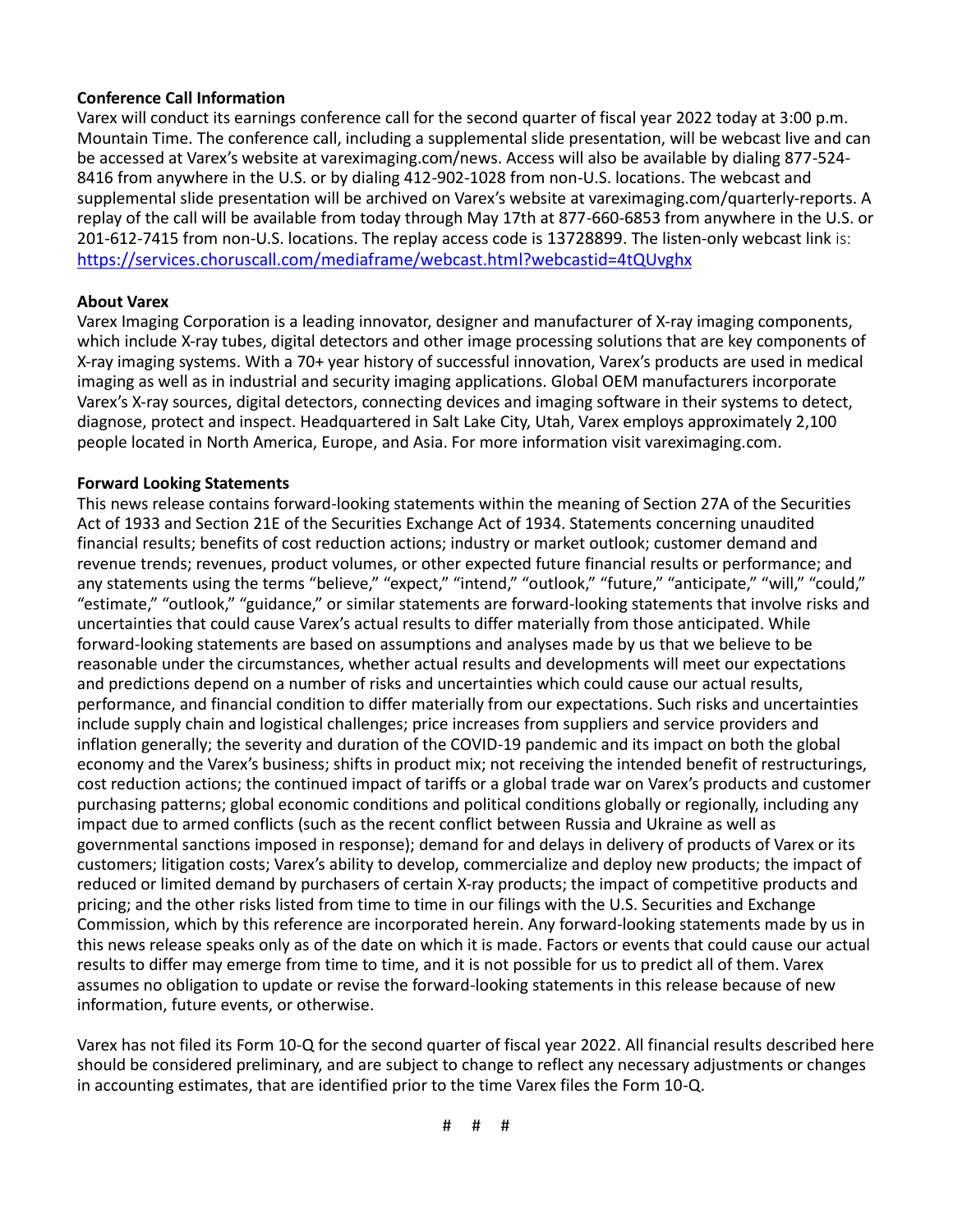# **Conference Call Information**

Varex will conduct its earnings conference call for the second quarter of fiscal year 2022 today at 3:00 p.m. Mountain Time. The conference call, including a supplemental slide presentation, will be webcast live and can be accessed at Varex's website at vareximaging.com/news. Access will also be available by dialing 877-524- 8416 from anywhere in the U.S. or by dialing 412-902-1028 from non-U.S. locations. The webcast and supplemental slide presentation will be archived on Varex's website at vareximaging.com/quarterly-reports. A replay of the call will be available from today through May 17th at 877-660-6853 from anywhere in the U.S. or 201-612-7415 from non-U.S. locations. The replay access code is 13728899. The listen-only webcast link is: [https://services.choruscall.com/mediaframe/webcast.html?webcastid=4tQUvghx](https://urldefense.com/v3/__https:/services.choruscall.com/mediaframe/webcast.html?webcastid=4tQUvghx__;!!FZbhlNR7tLSgXk_n!ad0sReQEYPnNrTnvOvx7QOnXprcLry4YY0-Dz9KSpQF4nqiCmlEa10OkTjlprSmnzY_6sK_xctAnng$)

# **About Varex**

Varex Imaging Corporation is a leading innovator, designer and manufacturer of X-ray imaging components, which include X-ray tubes, digital detectors and other image processing solutions that are key components of X-ray imaging systems. With a 70+ year history of successful innovation, Varex's products are used in medical imaging as well as in industrial and security imaging applications. Global OEM manufacturers incorporate Varex's X-ray sources, digital detectors, connecting devices and imaging software in their systems to detect, diagnose, protect and inspect. Headquartered in Salt Lake City, Utah, Varex employs approximately 2,100 people located in North America, Europe, and Asia. For more information visit vareximaging.com.

# **Forward Looking Statements**

This news release contains forward-looking statements within the meaning of Section 27A of the Securities Act of 1933 and Section 21E of the Securities Exchange Act of 1934. Statements concerning unaudited financial results; benefits of cost reduction actions; industry or market outlook; customer demand and revenue trends; revenues, product volumes, or other expected future financial results or performance; and any statements using the terms "believe," "expect," "intend," "outlook," "future," "anticipate," "will," "could," "estimate," "outlook," "guidance," or similar statements are forward-looking statements that involve risks and uncertainties that could cause Varex's actual results to differ materially from those anticipated. While forward-looking statements are based on assumptions and analyses made by us that we believe to be reasonable under the circumstances, whether actual results and developments will meet our expectations and predictions depend on a number of risks and uncertainties which could cause our actual results, performance, and financial condition to differ materially from our expectations. Such risks and uncertainties include supply chain and logistical challenges; price increases from suppliers and service providers and inflation generally; the severity and duration of the COVID-19 pandemic and its impact on both the global economy and the Varex's business; shifts in product mix; not receiving the intended benefit of restructurings, cost reduction actions; the continued impact of tariffs or a global trade war on Varex's products and customer purchasing patterns; global economic conditions and political conditions globally or regionally, including any impact due to armed conflicts (such as the recent conflict between Russia and Ukraine as well as governmental sanctions imposed in response); demand for and delays in delivery of products of Varex or its customers; litigation costs; Varex's ability to develop, commercialize and deploy new products; the impact of reduced or limited demand by purchasers of certain X-ray products; the impact of competitive products and pricing; and the other risks listed from time to time in our filings with the U.S. Securities and Exchange Commission, which by this reference are incorporated herein. Any forward-looking statements made by us in this news release speaks only as of the date on which it is made. Factors or events that could cause our actual results to differ may emerge from time to time, and it is not possible for us to predict all of them. Varex assumes no obligation to update or revise the forward-looking statements in this release because of new information, future events, or otherwise.

Varex has not filed its Form 10-Q for the second quarter of fiscal year 2022. All financial results described here should be considered preliminary, and are subject to change to reflect any necessary adjustments or changes in accounting estimates, that are identified prior to the time Varex files the Form 10-Q.

# # #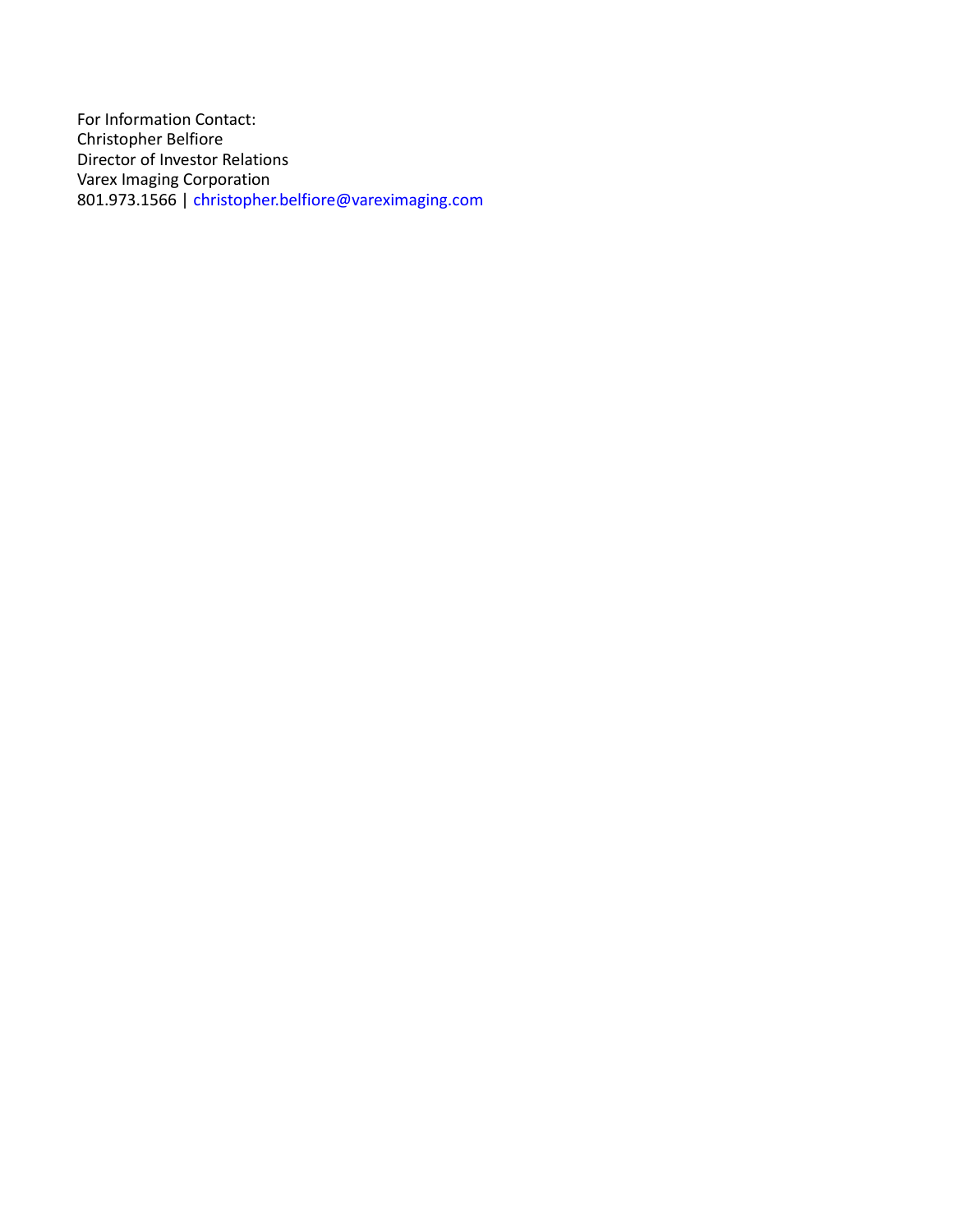For Information Contact: Christopher Belfiore Director of Investor Relations Varex Imaging Corporation 801.973.1566 | christopher.belfiore@vareximaging.com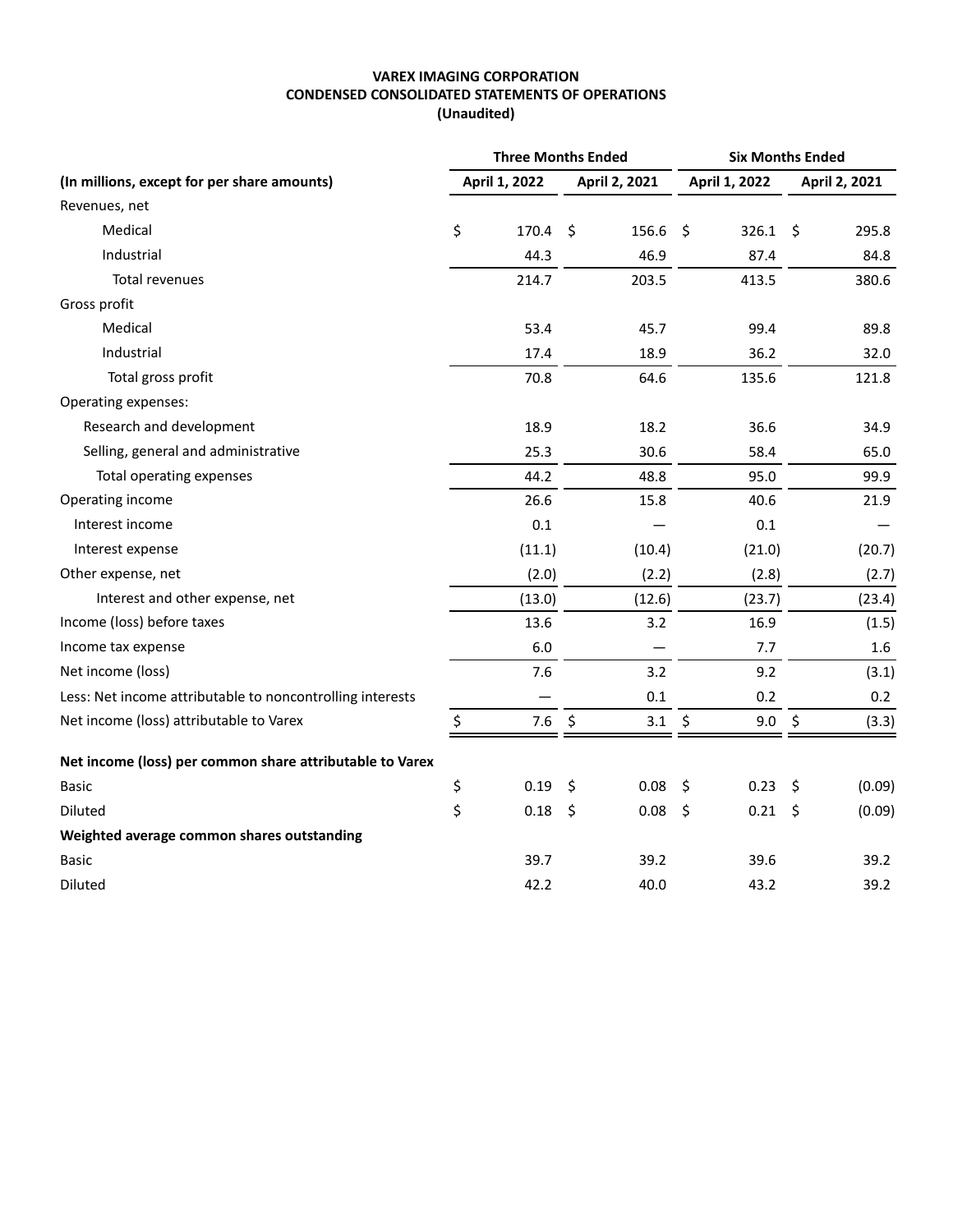### **VAREX IMAGING CORPORATION CONDENSED CONSOLIDATED STATEMENTS OF OPERATIONS (Unaudited)**

|                                                           | <b>Three Months Ended</b> |               |                     |               | <b>Six Months Ended</b> |               |                     |               |  |
|-----------------------------------------------------------|---------------------------|---------------|---------------------|---------------|-------------------------|---------------|---------------------|---------------|--|
| (In millions, except for per share amounts)               |                           | April 1, 2022 |                     | April 2, 2021 |                         | April 1, 2022 |                     | April 2, 2021 |  |
| Revenues, net                                             |                           |               |                     |               |                         |               |                     |               |  |
| Medical                                                   | \$                        | 170.4         | \$                  | 156.6         | $\ddot{\mathsf{S}}$     | 326.1         | $\ddot{\mathsf{S}}$ | 295.8         |  |
| Industrial                                                |                           | 44.3          |                     | 46.9          |                         | 87.4          |                     | 84.8          |  |
| <b>Total revenues</b>                                     |                           | 214.7         |                     | 203.5         |                         | 413.5         |                     | 380.6         |  |
| Gross profit                                              |                           |               |                     |               |                         |               |                     |               |  |
| Medical                                                   |                           | 53.4          |                     | 45.7          |                         | 99.4          |                     | 89.8          |  |
| Industrial                                                |                           | 17.4          |                     | 18.9          |                         | 36.2          |                     | 32.0          |  |
| Total gross profit                                        |                           | 70.8          |                     | 64.6          |                         | 135.6         |                     | 121.8         |  |
| Operating expenses:                                       |                           |               |                     |               |                         |               |                     |               |  |
| Research and development                                  |                           | 18.9          |                     | 18.2          |                         | 36.6          |                     | 34.9          |  |
| Selling, general and administrative                       |                           | 25.3          |                     | 30.6          |                         | 58.4          |                     | 65.0          |  |
| Total operating expenses                                  |                           | 44.2          |                     | 48.8          |                         | 95.0          |                     | 99.9          |  |
| Operating income                                          |                           | 26.6          |                     | 15.8          |                         | 40.6          |                     | 21.9          |  |
| Interest income                                           |                           | 0.1           |                     |               |                         | 0.1           |                     |               |  |
| Interest expense                                          |                           | (11.1)        |                     | (10.4)        |                         | (21.0)        |                     | (20.7)        |  |
| Other expense, net                                        |                           | (2.0)         |                     | (2.2)         |                         | (2.8)         |                     | (2.7)         |  |
| Interest and other expense, net                           |                           | (13.0)        |                     | (12.6)        |                         | (23.7)        |                     | (23.4)        |  |
| Income (loss) before taxes                                |                           | 13.6          |                     | 3.2           |                         | 16.9          |                     | (1.5)         |  |
| Income tax expense                                        |                           | 6.0           |                     |               |                         | 7.7           |                     | 1.6           |  |
| Net income (loss)                                         |                           | 7.6           |                     | 3.2           |                         | 9.2           |                     | (3.1)         |  |
| Less: Net income attributable to noncontrolling interests |                           |               |                     | 0.1           |                         | 0.2           |                     | 0.2           |  |
| Net income (loss) attributable to Varex                   | \$                        | 7.6           | $\ddot{\mathsf{S}}$ | 3.1           | \$                      | 9.0           | $\ddot{\varsigma}$  | (3.3)         |  |
| Net income (loss) per common share attributable to Varex  |                           |               |                     |               |                         |               |                     |               |  |
| <b>Basic</b>                                              | \$                        | 0.19          | $\zeta$             | 0.08          | $\ddot{\varsigma}$      | 0.23          | $\ddot{\mathsf{S}}$ | (0.09)        |  |
| Diluted                                                   | \$                        | 0.18          | \$                  | 0.08          | $\zeta$                 | 0.21          | $\zeta$             | (0.09)        |  |
| Weighted average common shares outstanding                |                           |               |                     |               |                         |               |                     |               |  |
| <b>Basic</b>                                              |                           | 39.7          |                     | 39.2          |                         | 39.6          |                     | 39.2          |  |
| Diluted                                                   |                           | 42.2          |                     | 40.0          |                         | 43.2          |                     | 39.2          |  |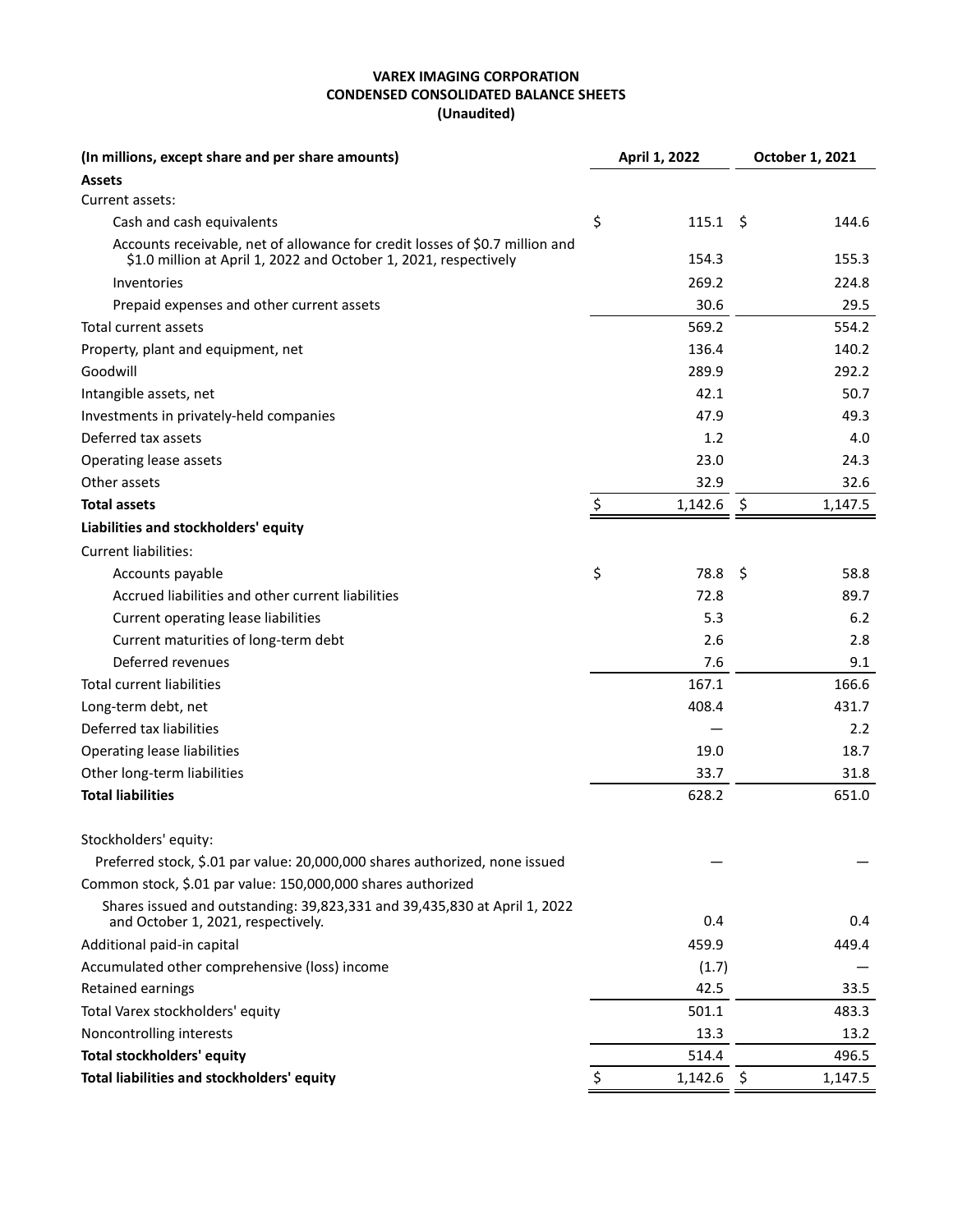### **VAREX IMAGING CORPORATION CONDENSED CONSOLIDATED BALANCE SHEETS (Unaudited)**

| (In millions, except share and per share amounts)                                                                                                |    | April 1, 2022       | October 1, 2021 |         |  |
|--------------------------------------------------------------------------------------------------------------------------------------------------|----|---------------------|-----------------|---------|--|
| <b>Assets</b>                                                                                                                                    |    |                     |                 |         |  |
| Current assets:                                                                                                                                  |    |                     |                 |         |  |
| Cash and cash equivalents                                                                                                                        | \$ | $115.1 \; \text{S}$ |                 | 144.6   |  |
| Accounts receivable, net of allowance for credit losses of \$0.7 million and<br>\$1.0 million at April 1, 2022 and October 1, 2021, respectively |    | 154.3               |                 | 155.3   |  |
| Inventories                                                                                                                                      |    | 269.2               |                 | 224.8   |  |
| Prepaid expenses and other current assets                                                                                                        |    | 30.6                |                 | 29.5    |  |
| Total current assets                                                                                                                             |    | 569.2               |                 | 554.2   |  |
| Property, plant and equipment, net                                                                                                               |    | 136.4               |                 | 140.2   |  |
| Goodwill                                                                                                                                         |    | 289.9               |                 | 292.2   |  |
| Intangible assets, net                                                                                                                           |    | 42.1                |                 | 50.7    |  |
| Investments in privately-held companies                                                                                                          |    | 47.9                |                 | 49.3    |  |
| Deferred tax assets                                                                                                                              |    | 1.2                 |                 | 4.0     |  |
| Operating lease assets                                                                                                                           |    | 23.0                |                 | 24.3    |  |
| Other assets                                                                                                                                     |    | 32.9                |                 | 32.6    |  |
| <b>Total assets</b>                                                                                                                              | \$ | 1,142.6             | \$              | 1,147.5 |  |
| Liabilities and stockholders' equity                                                                                                             |    |                     |                 |         |  |
| <b>Current liabilities:</b>                                                                                                                      |    |                     |                 |         |  |
| Accounts payable                                                                                                                                 | \$ | 78.8                | S               | 58.8    |  |
| Accrued liabilities and other current liabilities                                                                                                |    | 72.8                |                 | 89.7    |  |
| Current operating lease liabilities                                                                                                              |    | 5.3                 |                 | 6.2     |  |
| Current maturities of long-term debt                                                                                                             |    | 2.6                 |                 | 2.8     |  |
| Deferred revenues                                                                                                                                |    | 7.6                 |                 | 9.1     |  |
| <b>Total current liabilities</b>                                                                                                                 |    | 167.1               |                 | 166.6   |  |
| Long-term debt, net                                                                                                                              |    | 408.4               |                 | 431.7   |  |
| Deferred tax liabilities                                                                                                                         |    |                     |                 | 2.2     |  |
| Operating lease liabilities                                                                                                                      |    | 19.0                |                 | 18.7    |  |
| Other long-term liabilities                                                                                                                      |    | 33.7                |                 | 31.8    |  |
| <b>Total liabilities</b>                                                                                                                         |    | 628.2               |                 | 651.0   |  |
| Stockholders' equity:                                                                                                                            |    |                     |                 |         |  |
| Preferred stock, \$.01 par value: 20,000,000 shares authorized, none issued                                                                      |    |                     |                 |         |  |
| Common stock, \$.01 par value: 150,000,000 shares authorized                                                                                     |    |                     |                 |         |  |
| Shares issued and outstanding: 39,823,331 and 39,435,830 at April 1, 2022<br>and October 1, 2021, respectively.                                  |    | 0.4                 |                 | 0.4     |  |
| Additional paid-in capital                                                                                                                       |    | 459.9               |                 | 449.4   |  |
| Accumulated other comprehensive (loss) income                                                                                                    |    | (1.7)               |                 |         |  |
| Retained earnings                                                                                                                                |    | 42.5                |                 | 33.5    |  |
| Total Varex stockholders' equity                                                                                                                 |    | 501.1               |                 | 483.3   |  |
| Noncontrolling interests                                                                                                                         |    | 13.3                |                 | 13.2    |  |
| <b>Total stockholders' equity</b>                                                                                                                |    | 514.4               |                 | 496.5   |  |
| Total liabilities and stockholders' equity                                                                                                       | Ś  | 1,142.6             | \$              | 1,147.5 |  |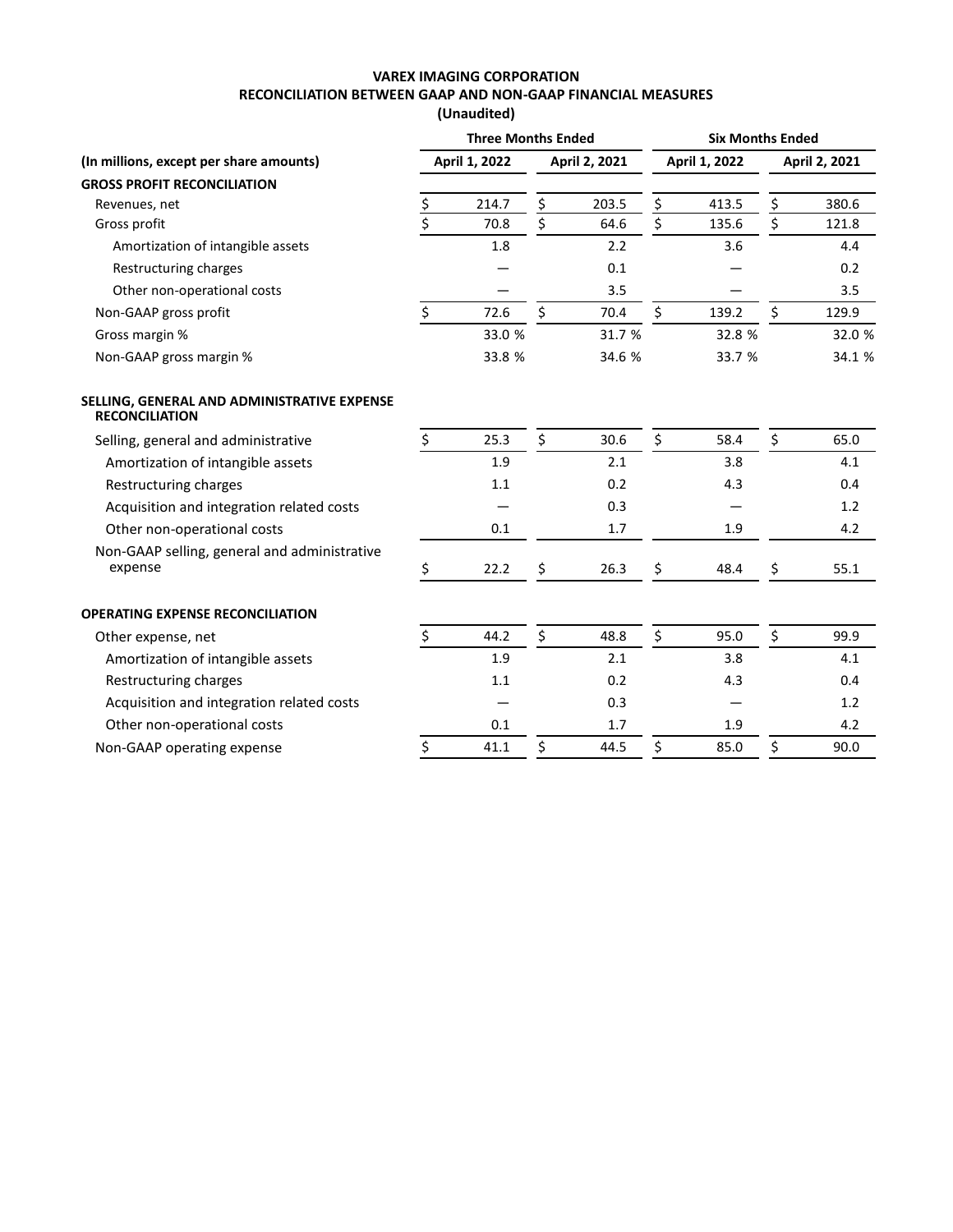# **VAREX IMAGING CORPORATION RECONCILIATION BETWEEN GAAP AND NON-GAAP FINANCIAL MEASURES**

**(Unaudited)**

|                                                                      | <b>Three Months Ended</b> |               |    |               | <b>Six Months Ended</b> |               |    |               |  |
|----------------------------------------------------------------------|---------------------------|---------------|----|---------------|-------------------------|---------------|----|---------------|--|
| (In millions, except per share amounts)                              |                           | April 1, 2022 |    | April 2, 2021 |                         | April 1, 2022 |    | April 2, 2021 |  |
| <b>GROSS PROFIT RECONCILIATION</b>                                   |                           |               |    |               |                         |               |    |               |  |
| Revenues, net                                                        | <u>\$</u>                 | 214.7         | \$ | 203.5         | \$                      | 413.5         | \$ | 380.6         |  |
| Gross profit                                                         | \$                        | 70.8          | \$ | 64.6          | \$                      | 135.6         | \$ | 121.8         |  |
| Amortization of intangible assets                                    |                           | 1.8           |    | 2.2           |                         | 3.6           |    | 4.4           |  |
| Restructuring charges                                                |                           |               |    | 0.1           |                         |               |    | 0.2           |  |
| Other non-operational costs                                          |                           |               |    | 3.5           |                         |               |    | 3.5           |  |
| Non-GAAP gross profit                                                | \$                        | 72.6          | \$ | 70.4          | \$                      | 139.2         | \$ | 129.9         |  |
| Gross margin %                                                       |                           | 33.0 %        |    | 31.7 %        |                         | 32.8 %        |    | 32.0 %        |  |
| Non-GAAP gross margin %                                              |                           | 33.8 %        |    | 34.6 %        |                         | 33.7 %        |    | 34.1 %        |  |
| SELLING, GENERAL AND ADMINISTRATIVE EXPENSE<br><b>RECONCILIATION</b> |                           |               |    |               |                         |               |    |               |  |
| Selling, general and administrative                                  | \$                        | 25.3          | \$ | 30.6          | \$                      | 58.4          | \$ | 65.0          |  |
| Amortization of intangible assets                                    |                           | 1.9           |    | 2.1           |                         | 3.8           |    | 4.1           |  |
| Restructuring charges                                                |                           | 1.1           |    | 0.2           |                         | 4.3           |    | 0.4           |  |
| Acquisition and integration related costs                            |                           |               |    | 0.3           |                         |               |    | 1.2           |  |
| Other non-operational costs                                          |                           | 0.1           |    | 1.7           |                         | 1.9           |    | 4.2           |  |
| Non-GAAP selling, general and administrative<br>expense              | \$                        | 22.2          | \$ | 26.3          | \$                      | 48.4          | \$ | 55.1          |  |
| <b>OPERATING EXPENSE RECONCILIATION</b>                              |                           |               |    |               |                         |               |    |               |  |
| Other expense, net                                                   | \$                        | 44.2          | \$ | 48.8          | \$                      | 95.0          | \$ | 99.9          |  |
| Amortization of intangible assets                                    |                           | 1.9           |    | 2.1           |                         | 3.8           |    | 4.1           |  |
| Restructuring charges                                                |                           | 1.1           |    | 0.2           |                         | 4.3           |    | 0.4           |  |
| Acquisition and integration related costs                            |                           |               |    | 0.3           |                         |               |    | 1.2           |  |
| Other non-operational costs                                          |                           | 0.1           |    | 1.7           |                         | 1.9           |    | 4.2           |  |
| Non-GAAP operating expense                                           | \$                        | 41.1          | \$ | 44.5          | \$                      | 85.0          | \$ | 90.0          |  |
|                                                                      |                           |               |    |               |                         |               |    |               |  |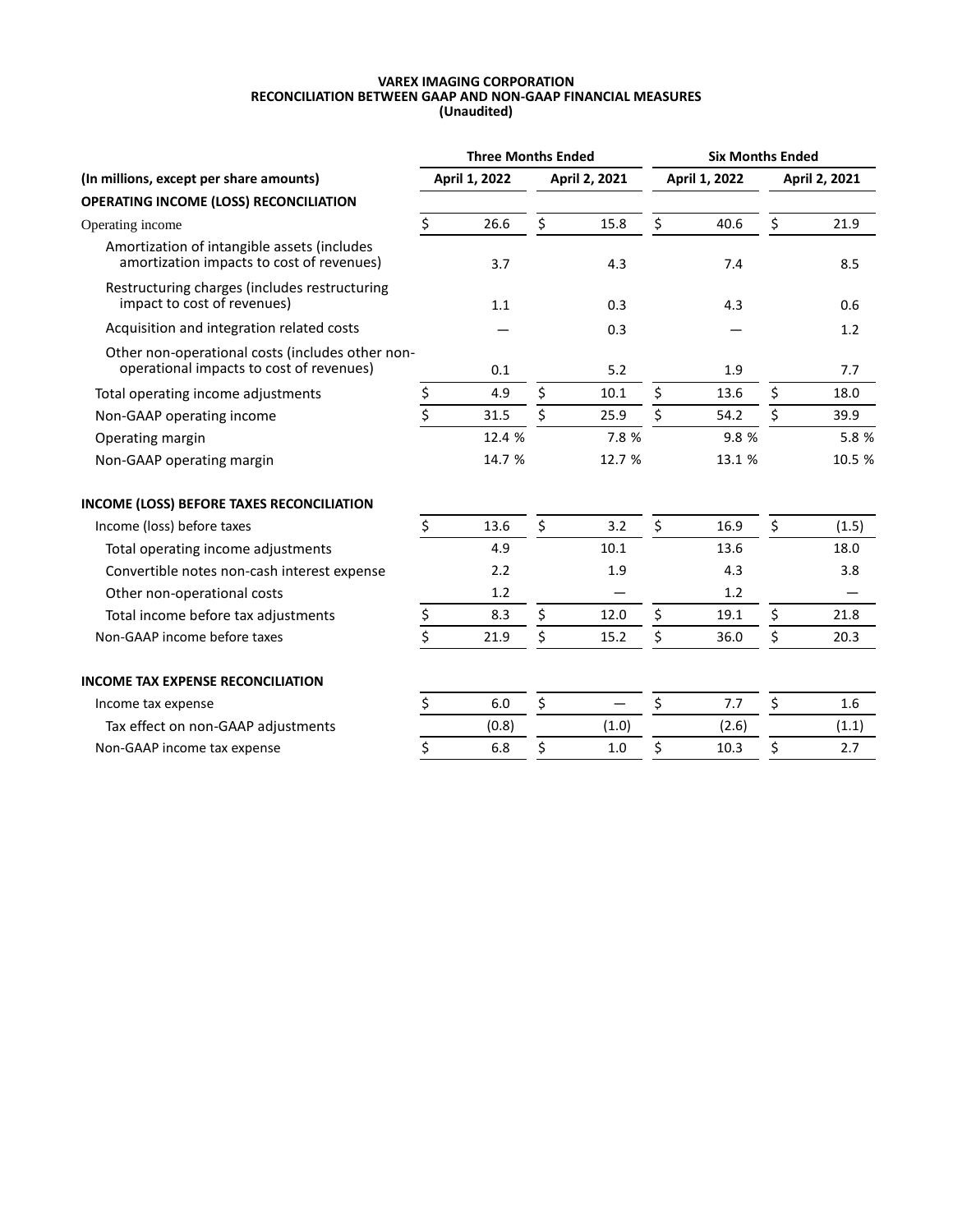#### **VAREX IMAGING CORPORATION RECONCILIATION BETWEEN GAAP AND NON-GAAP FINANCIAL MEASURES (Unaudited)**

| <b>Three Months Ended</b> |        |               |        | <b>Six Months Ended</b> |        |               |        |
|---------------------------|--------|---------------|--------|-------------------------|--------|---------------|--------|
| April 1, 2022             |        | April 2, 2021 |        | April 1, 2022           |        | April 2, 2021 |        |
|                           |        |               |        |                         |        |               |        |
| Ś.                        | 26.6   | \$            | 15.8   | \$                      | 40.6   | \$            | 21.9   |
|                           | 3.7    |               | 4.3    |                         | 7.4    |               | 8.5    |
|                           | 1.1    |               | 0.3    |                         | 4.3    |               | 0.6    |
|                           |        |               | 0.3    |                         |        |               | 1.2    |
|                           | 0.1    |               | 5.2    |                         | 1.9    |               | 7.7    |
| \$                        | 4.9    | \$            | 10.1   | \$                      | 13.6   | \$            | 18.0   |
| \$                        | 31.5   | \$            | 25.9   | \$                      | 54.2   | \$            | 39.9   |
|                           | 12.4 % |               | 7.8%   |                         | 9.8%   |               | 5.8 %  |
|                           | 14.7 % |               | 12.7 % |                         | 13.1 % |               | 10.5 % |
|                           |        |               |        |                         |        |               |        |
| \$                        | 13.6   | \$            | 3.2    | \$                      | 16.9   | \$            | (1.5)  |
|                           | 4.9    |               | 10.1   |                         | 13.6   |               | 18.0   |
|                           | 2.2    |               | 1.9    |                         | 4.3    |               | 3.8    |
|                           | 1.2    |               |        |                         | 1.2    |               |        |
| \$                        | 8.3    | \$            | 12.0   | \$                      | 19.1   | \$            | 21.8   |
| $\overline{\xi}$          | 21.9   | \$            | 15.2   | \$                      | 36.0   | \$            | 20.3   |
|                           |        |               |        |                         |        |               |        |
| \$                        | 6.0    | \$            |        | \$                      | 7.7    | \$            | 1.6    |
|                           | (0.8)  |               | (1.0)  |                         | (2.6)  |               | (1.1)  |
| \$                        | 6.8    | \$            | 1.0    | \$                      | 10.3   | \$            | 2.7    |
|                           |        |               |        |                         |        |               |        |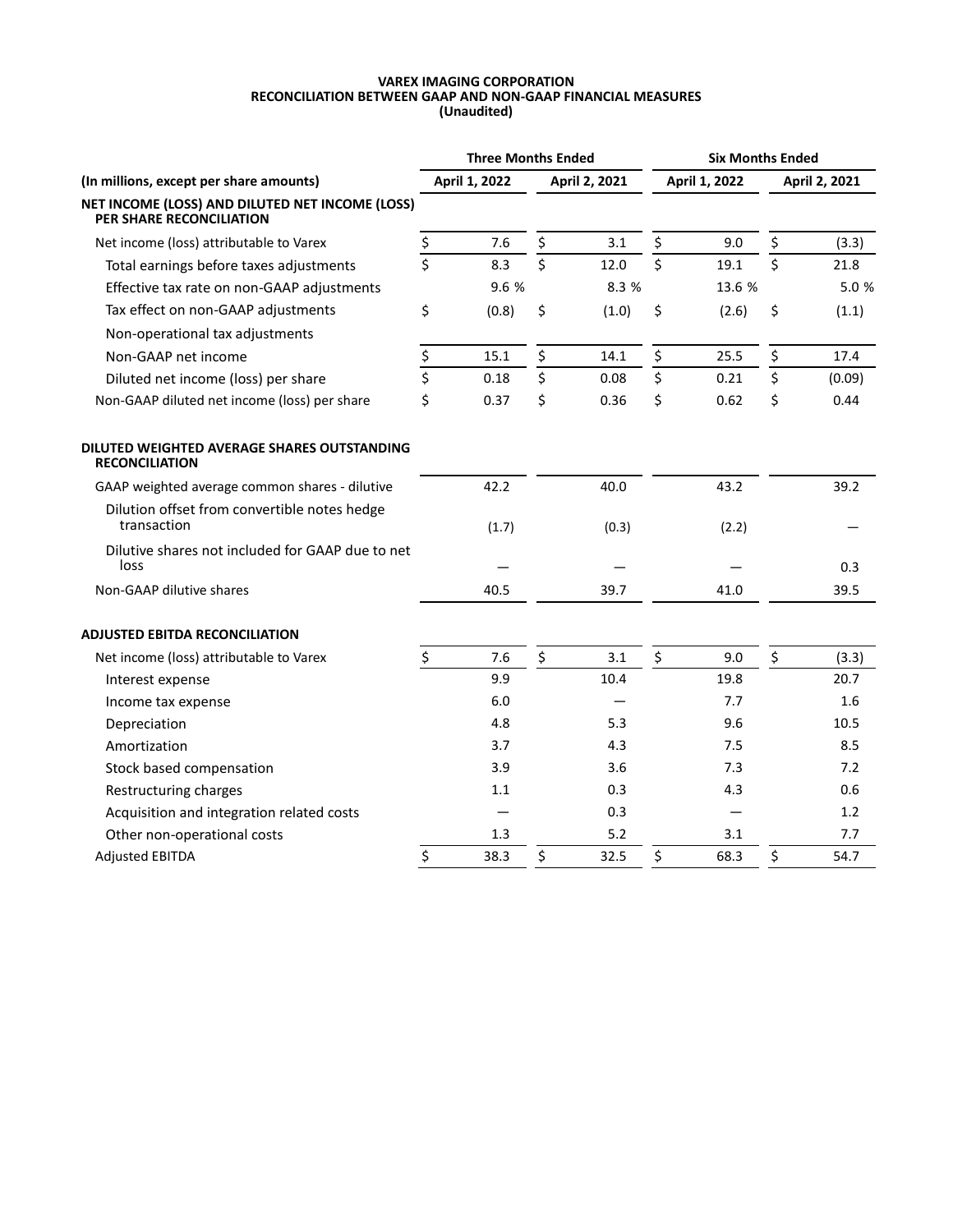#### **VAREX IMAGING CORPORATION RECONCILIATION BETWEEN GAAP AND NON-GAAP FINANCIAL MEASURES (Unaudited)**

|                                                                                    | <b>Three Months Ended</b> |               |    |               | <b>Six Months Ended</b> |               |    |               |  |
|------------------------------------------------------------------------------------|---------------------------|---------------|----|---------------|-------------------------|---------------|----|---------------|--|
| (In millions, except per share amounts)                                            |                           | April 1, 2022 |    | April 2, 2021 |                         | April 1, 2022 |    | April 2, 2021 |  |
| NET INCOME (LOSS) AND DILUTED NET INCOME (LOSS)<br><b>PER SHARE RECONCILIATION</b> |                           |               |    |               |                         |               |    |               |  |
| Net income (loss) attributable to Varex                                            | $\zeta$                   | 7.6           | \$ | 3.1           | \$                      | 9.0           | \$ | (3.3)         |  |
| Total earnings before taxes adjustments                                            | $\overline{\mathsf{S}}$   | 8.3           | \$ | 12.0          | \$                      | 19.1          | \$ | 21.8          |  |
| Effective tax rate on non-GAAP adjustments                                         |                           | 9.6 %         |    | 8.3%          |                         | 13.6 %        |    | 5.0%          |  |
| Tax effect on non-GAAP adjustments                                                 | \$                        | (0.8)         | \$ | (1.0)         | \$                      | (2.6)         | \$ | (1.1)         |  |
| Non-operational tax adjustments                                                    |                           |               |    |               |                         |               |    |               |  |
| Non-GAAP net income                                                                | \$                        | 15.1          | \$ | 14.1          | \$                      | 25.5          | \$ | 17.4          |  |
| Diluted net income (loss) per share                                                | \$                        | 0.18          | \$ | 0.08          | \$                      | 0.21          | \$ | (0.09)        |  |
| Non-GAAP diluted net income (loss) per share                                       | \$                        | 0.37          | \$ | 0.36          | \$                      | 0.62          | \$ | 0.44          |  |
| DILUTED WEIGHTED AVERAGE SHARES OUTSTANDING<br><b>RECONCILIATION</b>               |                           |               |    |               |                         |               |    |               |  |
| GAAP weighted average common shares - dilutive                                     |                           | 42.2          |    | 40.0          |                         | 43.2          |    | 39.2          |  |
| Dilution offset from convertible notes hedge<br>transaction                        |                           | (1.7)         |    | (0.3)         |                         | (2.2)         |    |               |  |
| Dilutive shares not included for GAAP due to net<br>loss                           |                           |               |    |               |                         |               |    | 0.3           |  |
| Non-GAAP dilutive shares                                                           |                           | 40.5          |    | 39.7          |                         | 41.0          |    | 39.5          |  |
| <b>ADJUSTED EBITDA RECONCILIATION</b>                                              |                           |               |    |               |                         |               |    |               |  |
| Net income (loss) attributable to Varex                                            | \$                        | 7.6           | \$ | 3.1           | \$                      | 9.0           | \$ | (3.3)         |  |
| Interest expense                                                                   |                           | 9.9           |    | 10.4          |                         | 19.8          |    | 20.7          |  |
| Income tax expense                                                                 |                           | 6.0           |    |               |                         | 7.7           |    | 1.6           |  |
| Depreciation                                                                       |                           | 4.8           |    | 5.3           |                         | 9.6           |    | 10.5          |  |
| Amortization                                                                       |                           | 3.7           |    | 4.3           |                         | 7.5           |    | 8.5           |  |
| Stock based compensation                                                           |                           | 3.9           |    | 3.6           |                         | 7.3           |    | 7.2           |  |
| Restructuring charges                                                              |                           | 1.1           |    | 0.3           |                         | 4.3           |    | 0.6           |  |
| Acquisition and integration related costs                                          |                           |               |    | 0.3           |                         |               |    | 1.2           |  |
| Other non-operational costs                                                        |                           | 1.3           |    | 5.2           |                         | 3.1           |    | 7.7           |  |
| <b>Adjusted EBITDA</b>                                                             | \$                        | 38.3          | \$ | 32.5          | $\boldsymbol{\zeta}$    | 68.3          | \$ | 54.7          |  |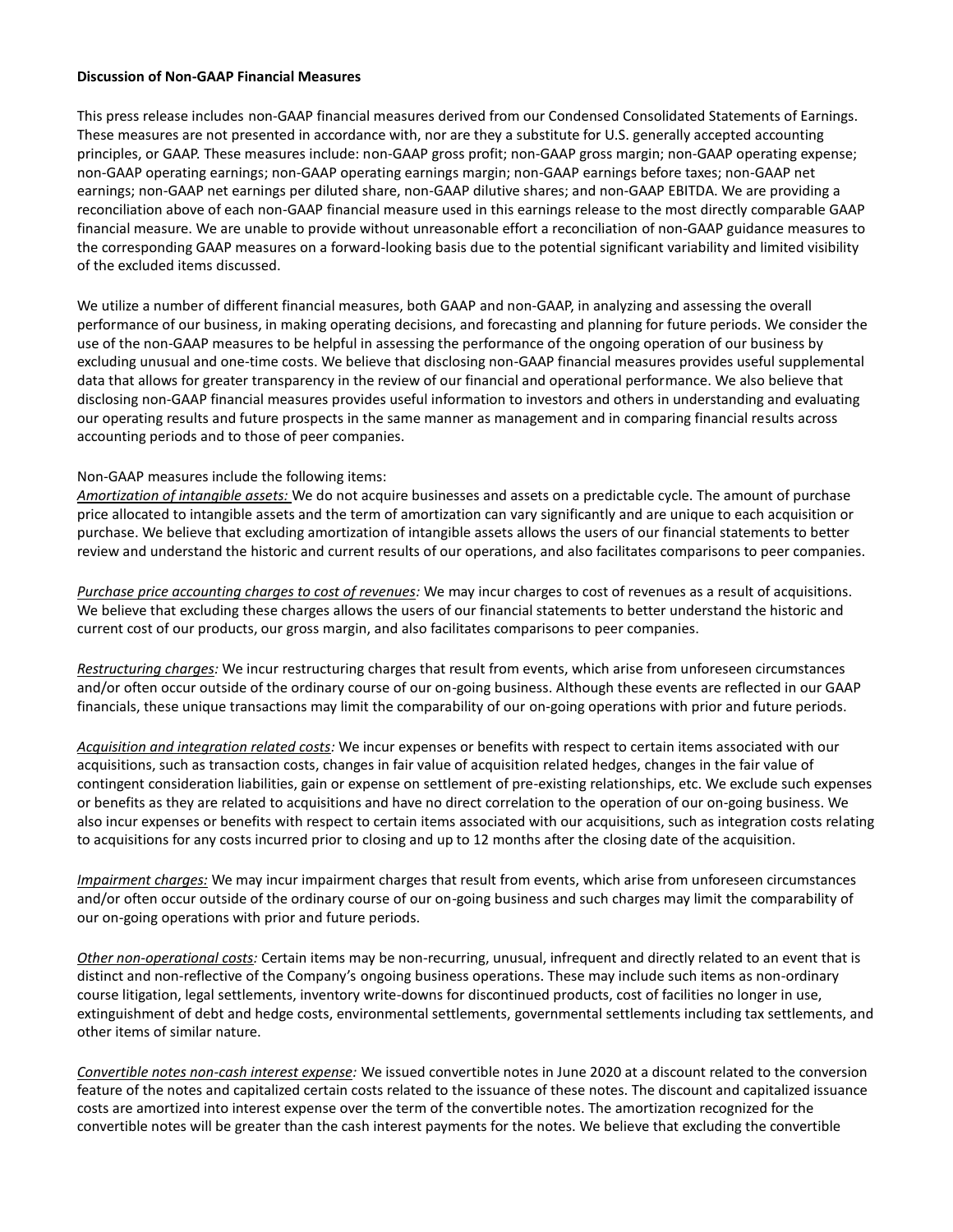#### **Discussion of Non-GAAP Financial Measures**

This press release includes non-GAAP financial measures derived from our Condensed Consolidated Statements of Earnings. These measures are not presented in accordance with, nor are they a substitute for U.S. generally accepted accounting principles, or GAAP. These measures include: non-GAAP gross profit; non-GAAP gross margin; non-GAAP operating expense; non-GAAP operating earnings; non-GAAP operating earnings margin; non-GAAP earnings before taxes; non-GAAP net earnings; non-GAAP net earnings per diluted share, non-GAAP dilutive shares; and non-GAAP EBITDA. We are providing a reconciliation above of each non-GAAP financial measure used in this earnings release to the most directly comparable GAAP financial measure. We are unable to provide without unreasonable effort a reconciliation of non-GAAP guidance measures to the corresponding GAAP measures on a forward-looking basis due to the potential significant variability and limited visibility of the excluded items discussed.

We utilize a number of different financial measures, both GAAP and non-GAAP, in analyzing and assessing the overall performance of our business, in making operating decisions, and forecasting and planning for future periods. We consider the use of the non-GAAP measures to be helpful in assessing the performance of the ongoing operation of our business by excluding unusual and one-time costs. We believe that disclosing non-GAAP financial measures provides useful supplemental data that allows for greater transparency in the review of our financial and operational performance. We also believe that disclosing non-GAAP financial measures provides useful information to investors and others in understanding and evaluating our operating results and future prospects in the same manner as management and in comparing financial results across accounting periods and to those of peer companies.

#### Non-GAAP measures include the following items:

*Amortization of intangible assets:* We do not acquire businesses and assets on a predictable cycle. The amount of purchase price allocated to intangible assets and the term of amortization can vary significantly and are unique to each acquisition or purchase. We believe that excluding amortization of intangible assets allows the users of our financial statements to better review and understand the historic and current results of our operations, and also facilitates comparisons to peer companies.

*Purchase price accounting charges to cost of revenues:* We may incur charges to cost of revenues as a result of acquisitions. We believe that excluding these charges allows the users of our financial statements to better understand the historic and current cost of our products, our gross margin, and also facilitates comparisons to peer companies.

*Restructuring charges:* We incur restructuring charges that result from events, which arise from unforeseen circumstances and/or often occur outside of the ordinary course of our on-going business. Although these events are reflected in our GAAP financials, these unique transactions may limit the comparability of our on-going operations with prior and future periods.

*Acquisition and integration related costs:* We incur expenses or benefits with respect to certain items associated with our acquisitions, such as transaction costs, changes in fair value of acquisition related hedges, changes in the fair value of contingent consideration liabilities, gain or expense on settlement of pre-existing relationships, etc. We exclude such expenses or benefits as they are related to acquisitions and have no direct correlation to the operation of our on-going business. We also incur expenses or benefits with respect to certain items associated with our acquisitions, such as integration costs relating to acquisitions for any costs incurred prior to closing and up to 12 months after the closing date of the acquisition.

*Impairment charges:* We may incur impairment charges that result from events, which arise from unforeseen circumstances and/or often occur outside of the ordinary course of our on-going business and such charges may limit the comparability of our on-going operations with prior and future periods.

*Other non-operational costs:* Certain items may be non-recurring, unusual, infrequent and directly related to an event that is distinct and non-reflective of the Company's ongoing business operations. These may include such items as non-ordinary course litigation, legal settlements, inventory write-downs for discontinued products, cost of facilities no longer in use, extinguishment of debt and hedge costs, environmental settlements, governmental settlements including tax settlements, and other items of similar nature.

*Convertible notes non-cash interest expense:* We issued convertible notes in June 2020 at a discount related to the conversion feature of the notes and capitalized certain costs related to the issuance of these notes. The discount and capitalized issuance costs are amortized into interest expense over the term of the convertible notes. The amortization recognized for the convertible notes will be greater than the cash interest payments for the notes. We believe that excluding the convertible